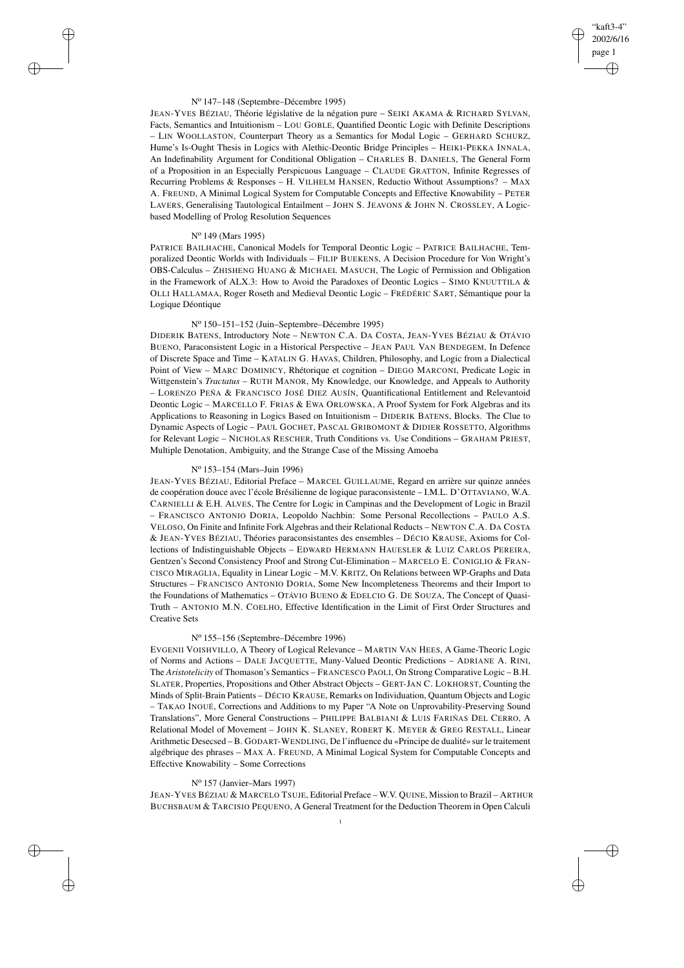## "kaft3-4" 2002/6/16 page 1 ✐ ✐

✐

✐

### N<sup>o</sup> 147–148 (Septembre–Décembre 1995)

JEAN-YVES BÉZIAU, Théorie législative de la négation pure – SEIKI AKAMA & RICHARD SYLVAN, Facts, Semantics and Intuitionism – LOU GOBLE, Quantified Deontic Logic with Definite Descriptions – LIN WOOLLASTON, Counterpart Theory as a Semantics for Modal Logic – GERHARD SCHURZ, Hume's Is-Ought Thesis in Logics with Alethic-Deontic Bridge Principles – HEIKI-PEKKA INNALA, An Indefinability Argument for Conditional Obligation – CHARLES B. DANIELS, The General Form of a Proposition in an Especially Perspicuous Language – CLAUDE GRATTON, Infinite Regresses of Recurring Problems & Responses – H. VILHELM HANSEN, Reductio Without Assumptions? – MAX A. FREUND, A Minimal Logical System for Computable Concepts and Effective Knowability – PETER LAVERS, Generalising Tautological Entailment – JOHN S. JEAVONS & JOHN N. CROSSLEY, A Logicbased Modelling of Prolog Resolution Sequences

## N<sup>o</sup> 149 (Mars 1995)

✐

✐

✐

✐

PATRICE BAILHACHE, Canonical Models for Temporal Deontic Logic – PATRICE BAILHACHE, Temporalized Deontic Worlds with Individuals – FILIP BUEKENS, A Decision Procedure for Von Wright's OBS-Calculus – ZHISHENG HUANG & MICHAEL MASUCH, The Logic of Permission and Obligation in the Framework of ALX.3: How to Avoid the Paradoxes of Deontic Logics – SIMO KNUUTTILA & OLLI HALLAMAA, Roger Roseth and Medieval Deontic Logic – FRÉDÉRIC SART, Sémantique pour la Logique Déontique

# N<sup>o</sup> 150–151–152 (Juin–Septembre–Décembre 1995)

DIDERIK BATENS, Introductory Note – NEWTON C.A. DA COSTA, JEAN-YVES BÉZIAU & OTÁVIO BUENO, Paraconsistent Logic in a Historical Perspective – JEAN PAUL VAN BENDEGEM, In Defence of Discrete Space and Time – KATALIN G. HAVAS, Children, Philosophy, and Logic from a Dialectical Point of View – MARC DOMINICY, Rhétorique et cognition – DIEGO MARCONI, Predicate Logic in Wittgenstein's *Tractatus* – RUTH MANOR, My Knowledge, our Knowledge, and Appeals to Authority – LORENZO PEÑA & FRANCISCO JOSÉ DIEZ AUSÍN, Quantificational Entitlement and Relevantoid Deontic Logic – MARCELLO F. FRIAS & EWA ORLOWSKA, A Proof System for Fork Algebras and its Applications to Reasoning in Logics Based on Intuitionism – DIDERIK BATENS, Blocks. The Clue to Dynamic Aspects of Logic – PAUL GOCHET, PASCAL GRIBOMONT & DIDIER ROSSETTO, Algorithms for Relevant Logic – NICHOLAS RESCHER, Truth Conditions vs. Use Conditions – GRAHAM PRIEST, Multiple Denotation, Ambiguity, and the Strange Case of the Missing Amoeba

# N<sup>o</sup> 153–154 (Mars–Juin 1996)

JEAN-YVES BÉZIAU, Editorial Preface – MARCEL GUILLAUME, Regard en arrière sur quinze années de coopération douce avec l'école Brésilienne de logique paraconsistente – I.M.L. D'OTTAVIANO, W.A. CARNIELLI & E.H. ALVES, The Centre for Logic in Campinas and the Development of Logic in Brazil – FRANCISCO ANTONIO DORIA, Leopoldo Nachbin: Some Personal Recollections – PAULO A.S. VELOSO, On Finite and Infinite Fork Algebras and their Relational Reducts – NEWTON C.A. DA COSTA & JEAN-YVES BÉZIAU, Théories paraconsistantes des ensembles – DÉCIO KRAUSE, Axioms for Collections of Indistinguishable Objects – EDWARD HERMANN HAUESLER & LUIZ CARLOS PEREIRA, Gentzen's Second Consistency Proof and Strong Cut-Elimination – MARCELO E. CONIGLIO & FRAN-CISCO MIRAGLIA, Equality in Linear Logic – M.V. KRITZ, On Relations between WP-Graphs and Data Structures – FRANCISCO ANTONIO DORIA, Some New Incompleteness Theorems and their Import to the Foundations of Mathematics – OTÁVIO BUENO & EDELCIO G. DE SOUZA, The Concept of Quasi-Truth – ANTONIO M.N. COELHO, Effective Identification in the Limit of First Order Structures and Creative Sets

# N<sup>o</sup> 155–156 (Septembre–Décembre 1996)

EVGENII VOISHVILLO, A Theory of Logical Relevance – MARTIN VAN HEES, A Game-Theoric Logic of Norms and Actions – DALE JACQUETTE, Many-Valued Deontic Predictions – ADRIANE A. RINI, The *Aristotelicity* of Thomason's Semantics – FRANCESCO PAOLI, On Strong Comparative Logic – B.H. SLATER, Properties, Propositions and Other Abstract Objects – GERT-JAN C. LOKHORST, Counting the Minds of Split-Brain Patients – DÉCIO KRAUSE, Remarks on Individuation, Quantum Objects and Logic – TAKAO INOUÉ, Corrections and Additions to my Paper "A Note on Unprovability-Preserving Sound Translations", More General Constructions – PHILIPPE BALBIANI & LUIS FARIÑAS DEL CERRO, A Relational Model of Movement – JOHN K. SLANEY, ROBERT K. MEYER & GREG RESTALL, Linear Arithmetic Desecsed – B. GODART-WENDLING, De l'influence du «Principe de dualité» sur le traitement algébrique des phrases – MAX A. FREUND, A Minimal Logical System for Computable Concepts and Effective Knowability – Some Corrections

## N<sup>o</sup> 157 (Janvier–Mars 1997)

JEAN-YVES BÉZIAU & MARCELO TSUJE, Editorial Preface – W.V. QUINE, Mission to Brazil – ARTHUR BUCHSBAUM & TARCISIO PEQUENO, A General Treatment for the Deduction Theorem in Open Calculi 1